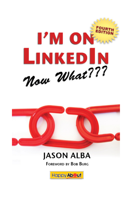



# JASON ALBA

**FOREWORD BY BOB BURG** 

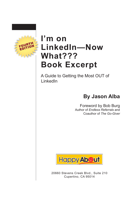

# **I'm on LinkedIn—Now What??? Book Excerpt**

A Guide to Getting the Most OUT of LinkedIn

### **By Jason Alba**

Foreword by Bob Burg Author of *Endless Referrals* and Coauthor of *The Go-Giver*



20660 Stevens Creek Blvd., Suite 210 Cupertino, CA 95014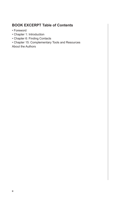#### **BOOK EXCERPT Table of Contents**

- Foreword
- Chapter 1: Introduction
- Chapter 6: Finding Contacts
- Chapter 15: Complementary Tools and Resources

About the Authors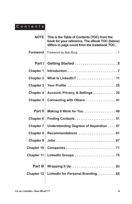## Contents

| <b>NOTE</b>                   | This is the Table of Contents (TOC) from the<br>book for your reference. The eBook TOC (below)<br>differs in page count from the tradebook TOC. |
|-------------------------------|-------------------------------------------------------------------------------------------------------------------------------------------------|
| <b>Foreword</b>               |                                                                                                                                                 |
| Part I                        |                                                                                                                                                 |
| <b>Chapter 1</b>              |                                                                                                                                                 |
| <b>Chapter 2</b>              |                                                                                                                                                 |
| <b>Chapter 3</b>              | Your Profile  25                                                                                                                                |
| <b>Chapter 4</b>              | Account, Privacy, & Settings  35                                                                                                                |
| <b>Chapter 5</b>              | Connecting with Others  41                                                                                                                      |
| Part II                       | Making It Work for You  49                                                                                                                      |
| <b>Chapter 6</b>              |                                                                                                                                                 |
| <b>Chapter 7</b>              | Understanding Degrees of Separation 57                                                                                                          |
| <b>Chapter 8</b>              | Recommendations  61                                                                                                                             |
| <b>Chapter 9</b>              |                                                                                                                                                 |
| <b>Chapter 10</b>             | Companies71                                                                                                                                     |
| <b>Chapter 11</b>             | LinkedIn Groups 75                                                                                                                              |
| Part III<br><b>Chapter 12</b> | LinkedIn for Personal Branding 85                                                                                                               |
|                               |                                                                                                                                                 |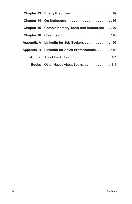|                   | Chapter 13   Shady Practices 89                    |
|-------------------|----------------------------------------------------|
| <b>Chapter 14</b> | On Netiquette93                                    |
| Chapter 15        | <b>Complementary Tools and Resources  97</b>       |
|                   |                                                    |
|                   | Appendix A   LinkedIn for Job Seekers 105          |
|                   | Appendix B   LinkedIn for Sales Professionals. 109 |
| Author            |                                                    |
| Books             | Other Happy About Books 113                        |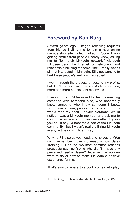#### Foreword

### **Foreword by Bob Burg**

Several years ago, I began receiving requests from friends inviting me to join a new online membership site called LinkedIn. Soon I was getting emails from people I barely knew, asking me to "join their LinkedIn network." Although I'd been using the Internet for networking and relationship building for some time, I really wasn't all that interested in LinkedIn. Still, not wanting to hurt these people's feelings, I accepted.

I went through the process of posting my profile, but didn't do much with the site. As time went on, more and more people sent me invites.

Every so often, I'd be asked for help connecting someone with someone else, who apparently knew someone who knew someone I knew. From time to time, people from specific groups who'd read my book, *Endless Referrals*<sup>1</sup> would notice I was a LinkedIn member and ask me to contribute an article for their newsletter. I guess you could say I'd become a part of the LinkedIn community. But I wasn't really utilizing LinkedIn in any active or significant way.

Why not? No perceived need, and no desire. (You might remember those two reasons from Sales Training 101 as the two most common reasons prospects say "no.") And why didn't I have any perceived need or desire? Because I had no idea what to do or how to make LinkedIn a positive experience for me.

That's exactly where this book comes into play.

<sup>1.</sup> Bob Burg, Endless Referrals, McGraw Hill, 2005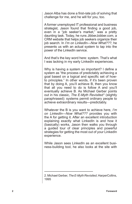Jason Alba has done a first-rate job of solving that challenge for me, and he will for you, too.

A former unemployed IT professional and business strategist, Jason found that finding a good job, even in a "job seeker's market," was a pretty daunting task. Today, he runs JibberJobber.com, a CRM website that helps job seekers organize their job search. In *I'm on LinkedIn—Now What???*, he presents us with an actual system to tap into the power of the LinkedIn service.

And that's the key word here: system. That's what I was lacking in my early LinkedIn experiences.

Why is having a system so important? I define a system as "the process of predictably achieving a goal based on a logical and specific set of howto principles." In other words, if it's been proven that by doing A, you'll achieve B, then you know that all you need to do is follow A and you'll eventually achieve B. As Michael Gerber points out in his classic, *The E-Myth Revisited*<sup>2</sup> (slightly paraphrased): systems permit ordinary people to achieve extraordinary results—predictably.

Whatever the B is you want to achieve here, *I'm on LinkedIn—Now What???* provides you with the A for getting it. After an excellent introduction explaining exactly what LinkedIn is and how it (basically) works, Jason then walks you through a guided tour of clear principles and powerful strategies for getting the most out of your LinkedIn experience.

While Jason sees LinkedIn as an excellent business-building tool, he also looks at the site with

<sup>2.</sup> Michael Gerber, *TheE-Myth Revisited*, HarperCollins, 1995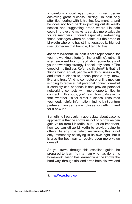a carefully critical eye. Jason himself began achieving great success utilizing LinkedIn only after floundering with it his first few months, and he does not hold back in pointing out its weaknesses and suggesting areas where LinkedIn could improve and make its service more valuable for its members. I found especially re-freshing those passages where he points out the areas of LinkedIn where he has still not grasped its highest use. Someone that humble, I tend to trust.

Jason tells us that LinkedIn is not a replacement for your networking efforts (online or offline); rather, it is an excellent tool for facilitating some facets of your networking strategy. I absolutely concur. The creed of my Endless Referrals System®3 is that "all things being equal, people will do business with, and refer business to, those people they know, like, and trust." And no computer or online medium is going to replace that personal connection—but it certainly can enhance it and provide potential networking contacts with more opportunities to connect. In this book, you'll learn how to do exactly that, whether it's for direct business, resources you need, helpful information, finding joint venture partners, hiring a new employee, or getting hired for a new job.

Something I particularly appreciate about Jason's approach is that he shows us not only how we can gain value from LinkedIn, but, just as important, how we can utilize LinkedIn to provide value to others. As any true networker knows, this is not only immensely satisfying in its own right, but it is also the best way to receive even more value oneself.

As you travel through this excellent guide, be prepared to learn from a man who has done his homework. Jason has learned what he knows the hard way, through trial and error, both his own and

<sup>3.</sup> **http://www.burg.com**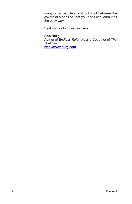many other people's, and put it all between the covers of a book so that you and I can learn it all the easy way!

Best wishes for great success.

#### **Bob Burg**

Author of *Endless Referrals* and Coauthor of *The Go-Giver* **http://www.burg.com**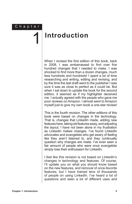#### <span id="page-9-0"></span>Chapter

## **Introduction**

When I revised the first edition of this book, back in 2008, I was embarrassed to find over five hundred changes that I needed to make. I was shocked to find more than a dozen changes, much less hundreds and hundreds! I spent a lot of time researching and writing, editing and revising, and by the time the last draft went to the publisher I was sure it was as close to perfect as it could be. But when I sat down to update the book for the second edition, it seemed as if my highlighter deceived me. I actually agreed with the people who gave me poor reviews on Amazon. I almost went to Amazon myself just to give my own book a one-star review!

This is the fourth revision. The other editions of this book were based on changes in the technology. That is, changes that LinkedIn made, adding new features here, taking old features away, and adjusting the layout. I have not been alone in my frustration as LinkedIn makes changes. I've found LinkedIn advocates and evangelists who get weary of feeling like they aren't listened to, and they continually question why changes are made. I've even seen a fair amount of people who were once evangelists simply lose their enthusiasm for LinkedIn.

I feel like this revision is not based on LinkedIn's changes in technology and features. Of course, I'll update you on what you should know based on the new features, and removal of once-favorite features, but I have trained tens of thousands of people on using LinkedIn. I've heard a lot of questions and seen a lot of different uses and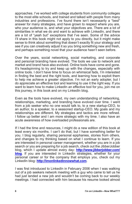approaches. I've worked with college students from community colleges to the most elite schools, and trained and talked with people from many industries and professions. I've found there isn't necessarily a "best" answer for many strategies, and have grown to respect where you are, who your audience is, and what your objectives are. There are a lot of similarities in what we do and want to achieve with LinkedIn, and there are a lot of "yeah but" exceptions that I've seen. Some of the advice I'll share in this book might not apply to you directly, but it might make sense to think about something that doesn't exactly fit your strategy and see if you can creatively adjust it so you bring something new and fresh, and perhaps something novel that your audience hasn't seen before.

Over the years, social networking, social marketing, and corporate and personal branding have evolved. The tools we use to network and market and brand have also evolved. Online tools have come and gone. It's headspinning to try and keep up with the changes, especially with online tools. I don't have time to focus on whimsical fads, I'm interested in finding the best and the right tools, and learning how to exploit them to help me achieve a greater objective. I'm not an early adopter, but I do appreciate an effective tool and learning to use it the right way. If you want to learn how to make LinkedIn an effective tool for you, join me on this journey, in this book and on my LinkedIn blog.

Even as the tools have evolved, my own understanding of networking, relationships, marketing, and branding have evolved over time. I went from a job seeker who no one would talk to, to a new startup-CEO, to an author, to a speaker, to a seasoned startup-CEO. My goals and my relationships are different. My strategies and tactics are more refined. I follow up better and I am more strategic with my time. I also have an acute awareness of how overloaded professionals are.

If I had the time and resources, I might do a new edition of this book at least every six months. I can't do that, but I have something better for you. I blog regularly, sharing personal epiphanies, stories from others, and changes to my thinking based on what I continue to learn. If you are interested in personal career management, whether you are in a job search or you are preparing for a job search, check out the JibberJobber blog, which I update almost every day: **http://www.jibberjobber.com/ blog**. If you are interested in LinkedIn strategies, whether for your personal career or for the company that employs you, check out my LinkedIn blog: **http://imonlinkedinnowwhat.com**.

I was first introduced to LinkedIn in February 2006 when I was walking out of a job seekers network meeting with a guy who came to tell us he had just landed a new job and wouldn't be coming back to our weekly meetings. I had connected with him because his resume looked almost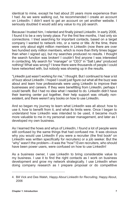identical to mine, except he had about 20 years more experience than I had. As we were walking out, he recommended I create an account on LinkedIn. I didn't want to get an account on yet another website. I seriously doubted it would add any value to my job search.

Because I trusted him, I relented and finally joined LinkedIn. In early 2006, I found it to be a very lonely place. For the first few months, I had only six connections. I tried searching for important contacts, based on a target company I wanted to network into, or a name or title. At the time, there were only about eight million members in LinkedIn (now there are over two hundred sixty million members, which is more than thirty times bigger than when I signed up), but my searches produced no results. I thought the search function was broken! I couldn't find anyone I was interested in contacting. My search for "manager" or "CEO" in "Salt Lake" produced nothing! What was wrong? I knew there were thousands of people I could have networked with, but nobody was showing up in the results.

"LinkedIn just wasn't working for me," I thought. But I continued to hear a lot of buzz about LinkedIn. I hoped I could just figure out what all the buzz was about and learn how professionals were using LinkedIn to improve their businesses and careers. If they were benefitting from LinkedIn, perhaps I could benefit. But I had no idea what I needed to do. LinkedIn didn't have their learning center put together, their help support was virtually nonexistent, and there weren't any books on how to use LinkedIn.

And so began my journey to learn what LinkedIn was all about: how to use it, how to benefit from it, and what its limits were. Once I began to understand how LinkedIn was intended to be used, it became much more valuable to me in my personal career management, and later as I developed my own business.

As I learned the hows and whys of LinkedIn, I found a lot of people were still confused by the same things that had confused me. It was obvious why you would use LinkedIn if you were a recruiter (the first book<sup>4</sup> on LinkedIn was written specifically for recruiters) or a job seeker. But the "why" wasn't the problem—it was the "how"! Even recruiters, who should have been power users, were confused on how to use LinkedIn!

As a business owner, I use LinkedIn to bring considerable value to my business. I use it to find the right contacts as I work on business development and grow my network strategically. I use LinkedIn when doing company research as I prepare proposal or do competitive

<sup>4.</sup> Bill Vick and Des Walsh, *Happy About LinkedIn for Recruiting*, Happy About, 2006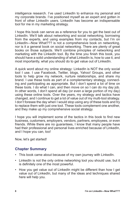intelligence research. I've used LinkedIn to enhance my personal and my corporate brands. I've positioned myself as an expert and gotten in front of other LinkedIn users. LinkedIn has become an indispensable tool for me in my marketing strategy.

I hope this book can serve as a reference for you to get the best out of LinkedIn. We'll talk about networking and social networking, borrowing from the experts, and using examples from my contacts, but I'm on LinkedIn—Now What??? is not a comprehensive book on networking, nor is it a general book on social networking. There are plenty of great books on those subjects. We'll combine principles of networking and marketing with the LinkedIn tool. By the time you finish this book, you should have a solid understanding of what LinkedIn is, how to use it, and most importantly, what you should do to get value out of LinkedIn.

A quick word about my online strategy: LinkedIn is NOT the only social tool I use. I use Facebook, Twitter, blogs, Yahoo! Groups, and other tools to help grow my network, nurture relationships, and share my brand. I use these tools as part of a complementary strategy, connecting and participating as appropriate. But I don't spend a lot of time on these tools. I do what I can, and then move on so I can do my day job. In other words, I don't spend all day (or even a large portion of my day) using these online tools. Over the years, my strategy and tactics have changed, and I continue to get a lot of value out of my multi-tool strategy. I don't foresee the day when I would stop using any of these tools and try to replace them with just one tool. These tools complement one another, and they make up my comprehensive social strategy.

I hope you will implement some of the tactics in this book to find new business, customers, employers, vendors, partners, employees, or even friends. While there are no guarantees, I know that many people have had their professional and personal lives enriched because of LinkedIn, and I hope you can, too!

Now, let's get started!

#### **Chapter Summary**

- This book came about because of my own journey with LinkedIn.
- LinkedIn is not the only online networking tool you should use, but it is definitely one of the most powerful.
- How you get value out of LinkedIn might be different than how I get value out of LinkedIn, but many of the ideas and techniques shared here will help you.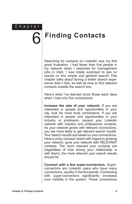#### <span id="page-13-0"></span>Chapter

**Finding Contacts** 

Searching for contacts on LinkedIn was my first great frustration. I had fewer than five people in my network when I searched for management jobs in Utah. I was totally surprised to see no results on this simple and general search! This chapter talks about having a better search experience than I had, as well as how to find relevant contacts outside the search box.

Here's what I've learned since those early days when I had only five connections:

**Increase the size of your network.** If you are interested in people and opportunities in your city, look for more local connections. If you are interested in people and opportunities in your industry or profession, expand your LinkedIn network with industry and professional contacts. As your network grows with relevant connections, you are more likely to get relevant search results. Your search results are based on your connections. Here is a key concept I teach with regard to growing your network: grow your network with RELEVANT contacts. The more relevant your contacts are (regardless of how strong your relationship is with them), the more relevant your search results should be.

**Connect with a few super-connectors.** Superconnectors are LinkedIn users who have many connections, usually in the thousands. Connecting with super-connectors significantly increases your visibility in the system. These connections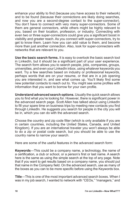enhance your ability to find (because you have access to their network) and to be found (because their connections are likely doing searches, and now you are a second-degree contact to the super-connector). You don't have to connect with very many super-connectors. Some of them are general connectors, while others might be highly relevant to you, based on their location, profession, or industry. Connecting with even two or three super-connectors could give you a significant boost in visibility and greater reach. As you connect with super-connectors, try to get to know them. Learn how you can add value to them, and become more than just another connection. Also, look for super-connecters with networks that are relevant to you.

**Use the basic search forms.** It is easy to overlook the basic search tool in LinkedIn, but it should be a significant part of your user experience. The search form allows you to search people, jobs, companies, groups, universities, and even your LinkedIn inbox, using whatever keywords you want. Try a few searches based on industry or professional keywords, perhaps words that are on your resume, or that are in a job opening you are interested in, and see what comes up. You'll likely find some new potential contacts to reach out to. You might see some profiles with information that you want to borrow for your own profile.

**Understand advanced search options.** Usually the quick search allows you to find what you're looking for. However, there is significant power in the advanced search page. Scott Allen has talked about using LinkedIn to fill your spare time on business trips by meeting new contacts you find through LinkedIn. He suggests you search for people in the city you will be in, which you can do with the advanced search.

Choose the country and zip code filter (which is only available if you are in certain countries, including the United States, Canada, and United Kingdom). If you are an international traveler you won't always be able to do a zip or postal code search, but you should be able to use the country name to narrow your search.

Here are some of the useful features in the advanced search form:

**Keywords**—This could be a company name, a technology, the name of a certification, a club or school, or a person's first or last name. A search here is the same as using the simple search at the top of any page. Note that if you want to get results based on a company name, you should put that name in the Company field. On the advanced search, use as many of the boxes as you can to be more specific before using the Keywords box.

**Title**—This is one of the most important advanced search boxes. When I was in my job search, I wanted to network with "CEOs," "managers," and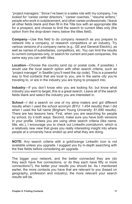"project managers." Since I've been in a sales role with my company, I've looked for "career center directors," "career coaches," "resume writers," people who work in outplacement, and other career professionals. I leave all other fields blank and then fill in the Title box with an appropriate title for a prospect, and choose to limit the search to current titles only (the option from the drop-down menu below the titles field).

**Company**—Use this field to do company research as you prepare to network into a company, or research competitors or an industry. Try various versions of a company name (e.g., GE and General Electric), as well as names of subsidiaries, competitors, etc. You can limit the results to current companies only, or search for current and past companies, the same way you can with titles.

**Location**—Choose the country (and zip or postal code, if possible). I would use the local search option with other search criteria, such as "project manager" in Seattle (you'll need the zip code). This is a powerful way to find contacts that are local to you, are in the same city you're traveling to, or are in the industry you are trying to prospect into.

**Industry**—If you don't know who you are looking for, but know what industry you want to target, this is a great search. Leave all of the search fields blank and select the industry you are interested in.

**School**—I did a search on one of my alma maters and got different results when I used the school acronym (BYU: 1,454 results) than I did when I used the full name (Brigham Young University: 81,690 results). There are two lessons here. First, when you are searching for people by school, try it both ways. Second, make sure you have both versions in your profile. Unless you are using other search criteria (like name, title, etc.), I encourage you to check out LinkedIn.com/alumni, which is a relatively new view that gives you really interesting insight into where people at a university have ended up and what they are doing.

**NOTE:** Any search criteria with a gold/orange LinkedIn icon is not available unless you upgrade. I suggest you try in-depth searching with the free fields before considering an upgrade.

The bigger your network, and the better connected they are (do they each have five connections, or do they each have fifty or more connections?), the better your results you should be. As I mentioned earlier, the more contacts you have that are relevant to you (based on geography, profession and industry), the more relevant your search results will be.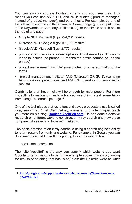You can also incorporate Boolean criteria into your searches. This means you can use AND, OR, and NOT; quotes ("product manager" instead of product manager); and parenthesis. For example, try any of the following searches in the Advanced Search page (you can put these in the Keywords or Company or Title fields), or the simple search box at the top of any page:

- Google NOT Microsoft (I got 294,281 results)
- Microsoft NOT Google (I got 101,719 results)
- Google AND Microsoft (I got 2,773 results)
- php -programmer -linux -javascript -css +html -mysql (a "+" means it has to include the phrase, "-" means the profile cannot include the phrase)
- project management institute" (use quotes for an exact match of the term)
- "project management institute" AND (Microsoft OR SUN); (combine term in quotes, parenthesis, and AND/OR operators for very specific results)

Combinations of these tricks will be enough for most people. For more in-depth information on really advanced searching, steal some tricks from Google's search tips page.<sup>11</sup>

One of the techniques that recruiters and savvy prospectors use is called x-ray searching. I'll let Glen Cathey, a master of this technique, teach you more on his blog, **[BooleanBlackBelt.com](http://booleanblackbelt.com/)**. He has done extensive research on different ways to construct an x-ray search and how these compare with searching from with LinkedIn.

The basic premise of an x-ray search is using a search engine's ability to return results from only one website. For example, in Google you can do a search on just LinkedIn by putting this in the search box:

site:linkedin.com alba

The "site:[website]" is the way you specify which website you want Google to return results from. In the example above, it is simply asking for results of anything that has "alba," from the LinkedIn website. After

<sup>11.</sup> **http://google.com/support/websearch/bin/answer.py?hl=en&answer= 134479&rd=1**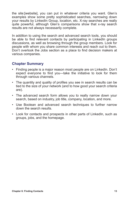the site:[website], you can put in whatever criteria you want. Glen's examples show some pretty sophisticated searches, narrowing down your results by LinkedIn Group, location, etc. X-ray searches are really quite powerful, although Glen's comparisons show that x-ray search results are not always necessarily complete.

In addition to using the search and advanced search tools, you should be able to find relevant contacts by participating in LinkedIn groups discussions, as well as browsing through the group members. Look for people with whom you share common interests and reach out to them. Don't overlook the Jobs section as a place to find decision makers at various companies.

#### **Chapter Summary**

- Finding people is a major reason most people are on LinkedIn. Don't expect everyone to find you—take the initiative to look for them through various channels.
- The quantity and quality of profiles you see in search results can be tied to the size of your network (and to how good your search criteria are).
- The advanced search form allows you to really narrow down your search, based on industry, job title, company, location, and more.
- Use Boolean and advanced search techniques to further narrow down the search results.
- Look for contacts and prospects in other parts of LinkedIn, such as groups, jobs, and the homepage.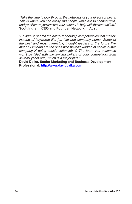*"Take the time to look through the networks of your direct connects. This is where you can easily find people you'd like to connect with, and you'll know you can ask your contact to help with the connection."* **Scott Ingram, CEO and Founder, Network In Austin**

*"Be sure to search the actual leadership competencies that matter, instead of keywords like job title and company name. Some of the best and most interesting thought leaders of the future I've met on LinkedIn are the ones who haven't worked at cookie-cutter company X doing cookie-cutter job Y. The team you assemble won't be filled with the limiting beliefs of your competitors from several years ago, which is a major plus."*

**David Dalka, Senior Marketing and Business Development Professional, http://www.daviddalka.com**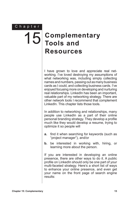<span id="page-19-0"></span>Chapter

# **Complementary** 15 Complement of **Tools** and **Resources**

I have grown to love and appreciate real networking. I've loved destroying my assumptions of what networking was, including simply collecting names and numbers, passing out as many business cards as I could, and collecting business cards. I've enjoyed focusing more on developing and nurturing real relationships. LinkedIn has been an important, valuable part of my networking strategy. There are other network tools I recommend that complement LinkedIn. This chapter lists those tools.

In addition to networking and relationships, many people use LinkedIn as a part of their online personal branding strategy. They develop a profile much like they would develop a resume, trying to optimize it so people will

- **a.** find it when searching for keywords (such as "project manager"), and/or
- **b.** be interested in working with, hiring, or learning more about the person.

If you are interested in developing an online presence, there are other ways to do it. A public profile on LinkedIn should only be one part of your multi-faceted strategy. Here's a short list of ways to enhance your online presence, and even get your name on the front page of search engine results: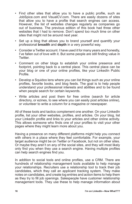- Find other sites that allow you to have a public profile, such as JobSpice.com and VisualCV.com. There are easily dozens of sites that allow you to have a profile that search engines can access. However, the list of websites changes regularly as companies go out of business. The previous edition of this book had three other websites that I had to remove. Don't spend too much time on other sites that might not be around next year.
- Set up a blog that allows you to brand yourself and quantify your professional **breadth** and **depth** in a very powerful way.
- Consider a Twitter account. I have used it for many years and honestly, I've fallen out of love with it. But some people are still finding value in Twitter.
- Comment on other blogs to establish your online presence and footprint, pointing back to a central place. This central place can be your blog or one of your online profiles, like your LinkedIn Public Profile.
- Develop a Squidoo lens where you can list things such as your online profiles, favorite books, and blog feeds. The goal is to help people understand your professional interests and abilities and to be found when people search for certain keywords.
- Write articles and post them for free online (search for article directory, or ezines, to see where you can easily post articles online), or volunteer to write a column for a magazine or newspaper.

All of these tools and tactics complement one another. On your LinkedIn profile, list your other websites, profiles, and articles. On your blog, list your LinkedIn profile and links to your articles and other online activity. This allows someone who finds one of your profiles to visit your other pages where they might learn more about you.

Having a presence on many different platforms might help you connect with others in a place where they feel comfortable. For example, your target audience might be on Twitter or Facebook, but not on other sites. Or maybe they aren't on any of the social sites, and they will most likely only find you when they use a search engine. Having multiple profiles can help search engines find you.

In addition to social tools and online profiles, use a CRM. There are hundreds of relationship management tools available to help manage your relationships. Recruiters use a relationship tool to track their job candidates, which they call an applicant tracking system. They make notes on candidates, and create log entries and action items to help them as they try to fill job openings. Salespeople have customer relationship management tools. They use these to help manage information about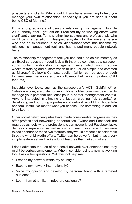prospects and clients. Why shouldn't you have something to help you manage your own relationships, especially if you are serious about being CEO of Me, Inc.?

I'm a strong advocate of using a relationship management tool. In 2006, shortly after I got laid off, I realized my networking efforts were significantly lacking. To help other job seekers and professionals who might be in a transition, I designed a system for the average person who had no experience in sales. JibberJobber.com has become my relationship management tool, and has helped many people network better.

The relationship management tool you use could be as rudimentary as an Excel spreadsheet (good luck with that), as complex as a salesperson's contact relationship management suite (which might require weeks of training and customization to use), or as simple and common as Microsoft Outlook's Contacts section (which can be good enough for very small networks and no follow-up, but lacks important CRM features).

Industrial-level tools, such as the salesperson's ACT!, GoldMine®, or Salesforce.com, are quite common. JibberJobber.com was designed to manage your personal relationships in a career management context. Anyone interested in climbing the ladder, creating "job security," or developing and nurturing a professional network would find JibberJobber.com useful. No matter what you choose, use something in addition to LinkedIn.

Other social networking sites have made considerable progress as they offer professional networking opportunities. Twitter and Facebook are regarded as tools where professionals can network, but Facebook lacks degrees of separation, as well as a strong search interface. If they were to add or enhance those two features, they would present a considerable threat to what LinkedIn offers. Twitter can be powerful, but it has a very simple feature set and lacks a lot of features that LinkedIn offers.

I don't advocate the use of one social network over another since they might be perfect complements. When I consider using a new networking tool, I ask a few questions. Will this tool help me:

- Expand my network within my country?
- Expand my network internationally?
- Voice my opinion and develop my personal brand with a targeted audience?
- Learn from other like-minded professionals?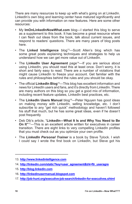There are many resources to keep up with what's going on at LinkedIn. LinkedIn's own blog and learning center have matured significantly and can provide you with information on new features. Here are some other resources:

- My **ImOnLinkedInNowWhat.com** blog—I started this blog to serve as a supplement to this book. It has become a great resource where I can flesh out ideas from the book, talk about current issues, and respond to readers' questions. There are many years of blog posts here.
- The **Linked Intelligence** blog13—Scott Allen's blog which has some great posts explaining techniques and strategies to help us understand how we can get more value out of LinkedIn.
- The **LinkedIn User Agreement** page14—If you are serious about using LinkedIn, you should read this at least once. Don't worry, it is short and fairly easy to read. There are a number of violations that might cause LinkedIn to freeze your account. Get familiar with the rules and philosophies behind the rules and you should be okay.
- The official **LinkedIn Blog**<sup>15</sup>—This blog has excellent information and news for LinkedIn users and fans, and it's directly from LinkedIn. There are many authors on this blog so you get a good mix of information, including recent feature updates, LinkedIn best practices, etc.
- The LinkedIn Users Manual blog<sup>16</sup>—Peter Nguyen has good ideas on making money with LinkedIn, selling knowledge, etc. I don't subscribe to any "get rich quick" methodology and haven't followed his stuff that much, but he has some great ideas, even if he doesn't post frequently
- Deb Dib's article, "**LinkedIn—What It Is and Why You Need to Be On It**"<sup>17</sup>—This is an excellent article written for executives in career transition. There are eight links to very compelling LinkedIn profiles that you must check out as you optimize your own profile.
- The *LinkedIn Personal Trainer* is a book by Steve Tylock. I wish I could say I wrote the first book on LinkedIn, but Steve got his

17. **http://job-hunt.org/executive-job-search/linkedin-for-executives.shtml**

<sup>13.</sup> **http://www.linkedintelligence.com**

<sup>14.</sup> **http://linkedin.com/static?key=user\_agreement&trk=ftr\_useragre**

<sup>15.</sup> **http://blog.linkedin.com**

<sup>16.</sup> **http://linkedinusermanual.blogspot.com**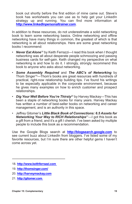book out shortly before the first edition of mine came out. Steve's book has worksheets you can use as to help get your LinkedIn strategy up and running. You can find more information at **http://www.linkedInpersonaltrainer.com**.

In addition to these resources, do not underestimate a solid networking book to learn some networking basics. Online networking and offline networking have many things in common, the greatest of which is that networking is all about relationships. Here are some great networking books I recommend:

- *Never Eat Alone*<sup>18</sup> by Keith Ferrazzi—I read this book when I thought networking was all about desperate people schmoozing and passing business cards for self-gain. Keith changed my perspective on what networking is and how to do it. I strongly, strongly recommend this book to anyone who asks about networking.
- *Some Assembly Required* and *The ABC's of Networking* by Thom Singer<sup>19</sup>—Thom's books are great resources with hundreds of practical, right-now relationship building tips. I've found his writings to be especially applicable in the corporate environment, because he gives many examples on how to enrich customer and prospect relationships.
- *Dig Your Well Before You're Thirsty*<sup>20</sup> by Harvey Mackay—This has been a staple of networking books for many years. Harvey Mackay has written a number of best-seller books on networking and career management, and is an authority in this space.
- Jeffrey Gitomer's *Little Black Book of Connections: 6.5 Assets for Networking Your Way to RICH Relationships*<sup>21</sup>—I got this book as a gift from a friend, and it's a gift I cherish. I've been asked by multiple people to include this book as a recommendation.

Use the Google Blogs search at **http://blogsearch.google.com** to see current buzz about LinkedIn from bloggers. I've listed some of my favorite resources, but I'm sure there are other helpful gems I haven't come across yet.

- 20. **http://harveymackay.com**
- 21. **http://gitomer.com**

<sup>18.</sup> **http://www.keithferrazzi.com** 

<sup>19.</sup> **http://thomsinger.com/**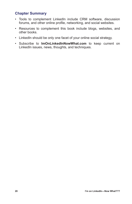#### **Chapter Summary**

- Tools to complement LinkedIn include CRM software, discussion forums, and other online profile, networking, and social websites.
- Resources to complement this book include blogs, websites, and other books.
- LinkedIn should be only one facet of your online social strategy.
- Subscribe to **ImOnLinkedInNowWhat.com** to keep current on LinkedIn issues, news, thoughts, and techniques.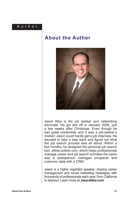#### <span id="page-25-0"></span>Author

### **About the Author**



Jason Alba is *the* job seeker and networking advocate. He got laid off in January 2006, just a few weeks after Christmas. Even though he had great credentials and it was a job-seeker's market, Jason could hardly get a job interview. He decided to take a step back and figure out what the job search process was all about. Within a few months, he designed the personal job search tool, JibberJobber.com, which helps professionals manage career and job search activities the same way a salesperson manages prospects and customer data with a CRM.

Jason is a highly regarded speaker, sharing career management and social marketing messages with thousands of professionals each year, from California to Istanbul. Learn more at **JasonAlba.com**.